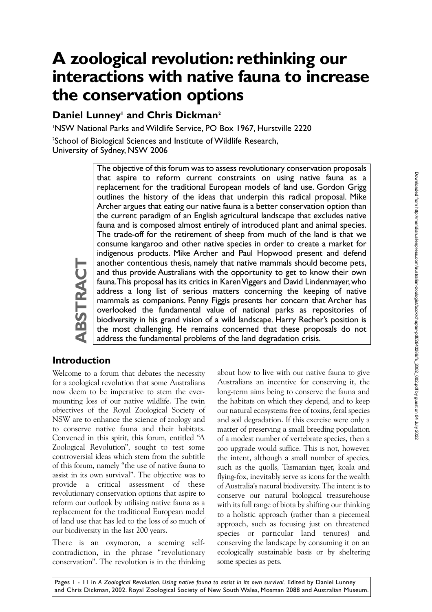# **A zoological revolution: rethinking our interactions with native fauna to increase the conservation options**

# **Daniel Lunney<sup>1</sup> and Chris Dickman<sup>2</sup>**

1 NSW National Parks and Wildlife Service, PO Box 1967, Hurstville 2220

 $^{\rm 2}$ School of Biological Sciences and Institute of Wildlife Research, University of Sydney, NSW 2006

> The objective of this forum was to assess revolutionary conservation proposals that aspire to reform current constraints on using native fauna as a replacement for the traditional European models of land use. Gordon Grigg outlines the history of the ideas that underpin this radical proposal. Mike Archer argues that eating our native fauna is a better conservation option than the current paradigm of an English agricultural landscape that excludes native fauna and is composed almost entirely of introduced plant and animal species. The trade-off for the retirement of sheep from much of the land is that we consume kangaroo and other native species in order to create a market for indigenous products. Mike Archer and Paul Hopwood present and defend another contentious thesis, namely that native mammals should become pets, and thus provide Australians with the opportunity to get to know their own fauna. This proposal has its critics in Karen Viggers and David Lindenmayer, who address a long list of serious matters concerning the keeping of native mammals as companions. Penny Figgis presents her concern that Archer has overlooked the fundamental value of national parks as repositories of biodiversity in his grand vision of a wild landscape. Harry Recher's position is the most challenging. He remains concerned that these proposals do not address the fundamental problems of the land degradation crisis.

# **ABSTRACT ABSTRAC**

**Introduction** Welcome to a forum that debates the necessity

for a zoological revolution that some Australians now deem to be imperative to stem the evermounting loss of our native wildlife. The twin objectives of the Royal Zoological Society of NSW are to enhance the science of zoology and to conserve native fauna and their habitats. Convened in this spirit, this forum, entitled "A Zoological Revolution", sought to test some controversial ideas which stem from the subtitle of this forum, namely "the use of native fauna to assist in its own survival". The objective was to provide a critical assessment of these revolutionary conservation options that aspire to reform our outlook by utilising native fauna as a replacement for the traditional European model of land use that has led to the loss of so much of our biodiversity in the last 200 years.

There is an oxymoron, a seeming selfcontradiction, in the phrase "revolutionary conservation". The revolution is in the thinking about how to live with our native fauna to give Australians an incentive for conserving it, the long-term aims being to conserve the fauna and the habitats on which they depend, and to keep our natural ecosystems free of toxins, feral species and soil degradation. If this exercise were only a matter of preserving a small breeding population of a modest number of vertebrate species, then a zoo upgrade would suffice. This is not, however, the intent, although a small number of species, such as the quolls, Tasmanian tiger, koala and flying-fox, inevitably serve as icons for the wealth of Australia's natural biodiversity. The intent is to conserve our natural biological treasurehouse with its full range of biota by shifting our thinking to a holistic approach (rather than a piecemeal approach, such as focusing just on threatened species or particular land tenures) and conserving the landscape by consuming it on an ecologically sustainable basis or by sheltering some species as pets.

Pages 1 - 11 in *A Zoological Revolution. Using native fauna to assist in its own survival.* Edited by Daniel Lunney and Chris Dickman, 2002. Royal Zoological Society of New South Wales, Mosman 2088 and Australian Museum.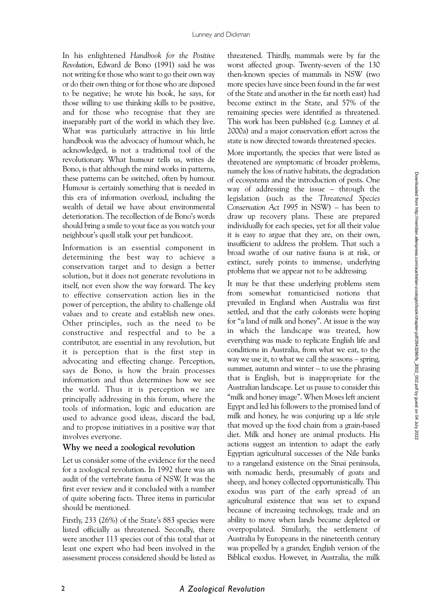In his enlightened *Handbook for the Positive Revolution*, Edward de Bono (1991) said he was not writing for those who want to go their own way or do their own thing or for those who are disposed to be negative; he wrote his book, he says, for those willing to use thinking skills to be positive, and for those who recognise that they are inseparably part of the world in which they live. What was particularly attractive in his little handbook was the advocacy of humour which, he acknowledged, is not a traditional tool of the revolutionary. What humour tells us, writes de Bono, is that although the mind works in patterns, these patterns can be switched, often by humour. Humour is certainly something that is needed in this era of information overload, including the wealth of detail we have about environmental deterioration. The recollection of de Bono's words should bring a smile to your face as you watch your neighbour's quoll stalk your pet bandicoot.

Information is an essential component in determining the best way to achieve a conservation target and to design a better solution, but it does not generate revolutions in itself, nor even show the way forward. The key to effective conservation action lies in the power of perception, the ability to challenge old values and to create and establish new ones. Other principles, such as the need to be constructive and respectful and to be a contributor, are essential in any revolution, but it is perception that is the first step in advocating and effecting change. Perception, says de Bono, is how the brain processes information and thus determines how we see the world. Thus it is perception we are principally addressing in this forum, where the tools of information, logic and education are used to advance good ideas, discard the bad, and to propose initiatives in a positive way that involves everyone.

#### **Why we need a zoological revolution**

Let us consider some of the evidence for the need for a zoological revolution. In 1992 there was an audit of the vertebrate fauna of NSW. It was the first ever review and it concluded with a number of quite sobering facts. Three items in particular should be mentioned.

Firstly, 233 (26%) of the State's 883 species were listed officially as threatened. Secondly, there were another 113 species out of this total that at least one expert who had been involved in the assessment process considered should be listed as

threatened. Thirdly, mammals were by far the worst affected group. Twenty-seven of the 130 then-known species of mammals in NSW (two more species have since been found in the far west of the State and another in the far north east) had become extinct in the State, and 57% of the remaining species were identified as threatened. This work has been published (e.g. Lunney *et al.* 2000a) and a major conservation effort across the state is now directed towards threatened species.

More importantly, the species that were listed as threatened are symptomatic of broader problems, namely the loss of native habitats, the degradation of ecosystems and the introduction of pests. One way of addressing the issue – through the legislation (such as the *Threatened Species Conservation Act 1995* in NSW) – has been to draw up recovery plans. These are prepared individually for each species, yet for all their value it is easy to argue that they are, on their own, insufficient to address the problem. That such a broad swathe of our native fauna is at risk, or extinct, surely points to immense, underlying problems that we appear not to be addressing.

It may be that these underlying problems stem from somewhat romanticised notions that prevailed in England when Australia was first settled, and that the early colonists were hoping for "a land of milk and honey". At issue is the way in which the landscape was treated, how everything was made to replicate English life and conditions in Australia, from what we eat, to the way we use it, to what we call the seasons – spring, summer, autumn and winter – to use the phrasing that is English, but is inappropriate for the Australian landscape. Let us pause to consider this "milk and honey image". When Moses left ancient Egypt and led his followers to the promised land of milk and honey, he was conjuring up a life style that moved up the food chain from a grain-based diet. Milk and honey are animal products. His actions suggest an intention to adapt the early Egyptian agricultural successes of the Nile banks to a rangeland existence on the Sinai peninsula, with nomadic herds, presumably of goats and sheep, and honey collected opportunistically. This exodus was part of the early spread of an agricultural existence that was set to expand because of increasing technology, trade and an ability to move when lands became depleted or overpopulated. Similarly, the settlement of Australia by Europeans in the nineteenth century was propelled by a grander, English version of the Biblical exodus. However, in Australia, the milk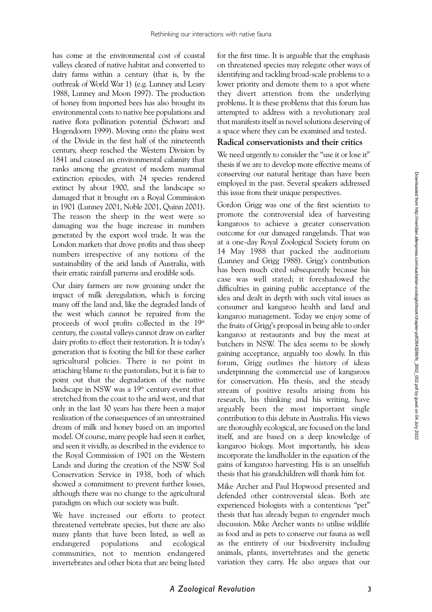has come at the environmental cost of coastal valleys cleared of native habitat and converted to dairy farms within a century (that is, by the outbreak of World War 1) (e.g. Lunney and Leary 1988, Lunney and Moon 1997). The production of honey from imported bees has also brought its environmental costs to native bee populations and native flora pollination potential (Schwarz and Hogendoorn 1999). Moving onto the plains west of the Divide in the first half of the nineteenth century, sheep reached the Western Division by 1841 and caused an environmental calamity that ranks among the greatest of modern mammal extinction episodes, with 24 species rendered extinct by about 1900, and the landscape so damaged that it brought on a Royal Commission in 1901 (Lunney 2001, Noble 2001, Quinn 2001). The reason the sheep in the west were so damaging was the huge increase in numbers generated by the export wool trade. It was the London markets that drove profits and thus sheep numbers irrespective of any notions of the sustainability of the arid lands of Australia, with their erratic rainfall patterns and erodible soils.

Our dairy farmers are now groaning under the impact of milk deregulation, which is forcing many off the land and, like the degraded lands of the west which cannot be repaired from the proceeds of wool profits collected in the 19<sup>th</sup> century, the coastal valleys cannot draw on earlier dairy profits to effect their restoration. It is today's generation that is footing the bill for these earlier agricultural policies. There is no point in attaching blame to the pastoralists, but it is fair to point out that the degradation of the native landscape in NSW was a  $19<sup>th</sup>$  century event that stretched from the coast to the arid west, and that only in the last 30 years has there been a major realisation of the consequences of an unrestrained dream of milk and honey based on an imported model. Of course, many people had seen it earlier, and seen it vividly, as described in the evidence to the Royal Commission of 1901 on the Western Lands and during the creation of the NSW Soil Conservation Service in 1938, both of which showed a commitment to prevent further losses, although there was no change to the agricultural paradigm on which our society was built.

We have increased our efforts to protect threatened vertebrate species, but there are also many plants that have been listed, as well as endangered populations and ecological communities, not to mention endangered invertebrates and other biota that are being listed

for the first time. It is arguable that the emphasis on threatened species may relegate other ways of identifying and tackling broad-scale problems to a lower priority and demote them to a spot where they divert attention from the underlying problems. It is these problems that this forum has attempted to address with a revolutionary zeal that manifests itself as novel solutions deserving of a space where they can be examined and tested.

#### **Radical conservationists and their critics**

We need urgently to consider the "use it or lose it" thesis if we are to develop more effective means of conserving our natural heritage than have been employed in the past. Several speakers addressed this issue from their unique perspectives.

Gordon Grigg was one of the first scientists to promote the controversial idea of harvesting kangaroos to achieve a greater conservation outcome for our damaged rangelands. That was at a one-day Royal Zoological Society forum on 14 May 1988 that packed the auditorium (Lunney and Grigg 1988). Grigg's contribution has been much cited subsequently because his case was well stated; it foreshadowed the difficulties in gaining public acceptance of the idea and dealt in depth with such vital issues as consumer and kangaroo health and land and kangaroo management. Today we enjoy some of the fruits of Grigg's proposal in being able to order kangaroo at restaurants and buy the meat at butchers in NSW. The idea seems to be slowly gaining acceptance, arguably too slowly. In this forum, Grigg outlines the history of ideas underpinning the commercial use of kangaroos for conservation. His thesis, and the steady stream of positive results arising from his research, his thinking and his writing, have arguably been the most important single contribution to this debate in Australia. His views are thoroughly ecological, are focused on the land itself, and are based on a deep knowledge of kangaroo biology. Most importantly, his ideas incorporate the landholder in the equation of the gains of kangaroo harvesting. His is an unselfish thesis that his grandchildren will thank him for.

Mike Archer and Paul Hopwood presented and defended other controversial ideas. Both are experienced biologists with a contentious "pet" thesis that has already begun to engender much discussion. Mike Archer wants to utilise wildlife as food and as pets to conserve our fauna as well as the entirety of our biodiversity including animals, plants, invertebrates and the genetic variation they carry. He also argues that our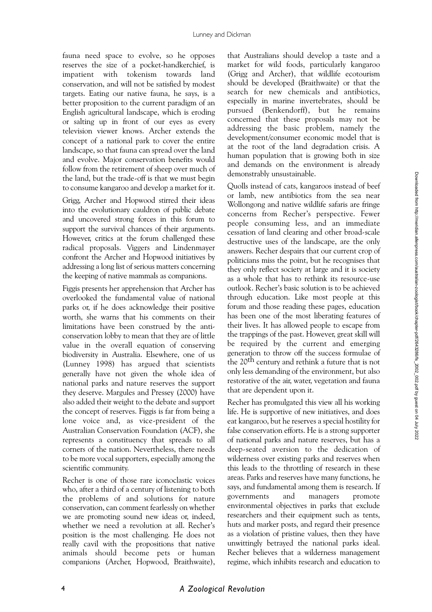fauna need space to evolve, so he opposes reserves the size of a pocket-handkerchief, is impatient with tokenism towards land conservation, and will not be satisfied by modest targets. Eating our native fauna, he says, is a better proposition to the current paradigm of an English agricultural landscape, which is eroding or salting up in front of our eyes as every television viewer knows. Archer extends the concept of a national park to cover the entire landscape, so that fauna can spread over the land and evolve. Major conservation benefits would follow from the retirement of sheep over much of the land, but the trade-off is that we must begin to consume kangaroo and develop a market for it.

Grigg, Archer and Hopwood stirred their ideas into the evolutionary cauldron of public debate and uncovered strong forces in this forum to support the survival chances of their arguments. However, critics at the forum challenged these radical proposals. Viggers and Lindenmayer confront the Archer and Hopwood initiatives by addressing a long list of serious matters concerning the keeping of native mammals as companions.

Figgis presents her apprehension that Archer has overlooked the fundamental value of national parks or, if he does acknowledge their positive worth, she warns that his comments on their limitations have been construed by the anticonservation lobby to mean that they are of little value in the overall equation of conserving biodiversity in Australia. Elsewhere, one of us (Lunney 1998) has argued that scientists generally have not given the whole idea of national parks and nature reserves the support they deserve. Margules and Pressey (2000) have also added their weight to the debate and support the concept of reserves. Figgis is far from being a lone voice and, as vice-president of the Australian Conservation Foundation (ACF), she represents a constituency that spreads to all corners of the nation. Nevertheless, there needs to be more vocal supporters, especially among the scientific community.

Recher is one of those rare iconoclastic voices who, after a third of a century of listening to both the problems of and solutions for nature conservation, can comment fearlessly on whether we are promoting sound new ideas or, indeed, whether we need a revolution at all. Recher's position is the most challenging. He does not really cavil with the propositions that native animals should become pets or human companions (Archer, Hopwood, Braithwaite),

that Australians should develop a taste and a market for wild foods, particularly kangaroo (Grigg and Archer), that wildlife ecotourism should be developed (Braithwaite) or that the search for new chemicals and antibiotics, especially in marine invertebrates, should be pursued (Benkendorff), but he remains concerned that these proposals may not be addressing the basic problem, namely the development/consumer economic model that is at the root of the land degradation crisis. A human population that is growing both in size and demands on the environment is already demonstrably unsustainable.

Quolls instead of cats, kangaroos instead of beef or lamb, new antibiotics from the sea near Wollongong and native wildlife safaris are fringe concerns from Recher's perspective. Fewer people consuming less, and an immediate cessation of land clearing and other broad-scale destructive uses of the landscape, are the only answers. Recher despairs that our current crop of politicians miss the point, but he recognises that they only reflect society at large and it is society as a whole that has to rethink its resource-use outlook. Recher's basic solution is to be achieved through education. Like most people at this forum and those reading these pages, education has been one of the most liberating features of their lives. It has allowed people to escape from the trappings of the past. However, great skill will be required by the current and emerging generation to throw off the success formulae of the 20th century and rethink a future that is not only less demanding of the environment, but also restorative of the air, water, vegetation and fauna that are dependent upon it.

Recher has promulgated this view all his working life. He is supportive of new initiatives, and does eat kangaroo, but he reserves a special hostility for false conservation efforts. He is a strong supporter of national parks and nature reserves, but has a deep-seated aversion to the dedication of wilderness over existing parks and reserves when this leads to the throttling of research in these areas. Parks and reserves have many functions, he says, and fundamental among them is research. If governments and managers promote environmental objectives in parks that exclude researchers and their equipment such as tents, huts and marker posts, and regard their presence as a violation of pristine values, then they have unwittingly betrayed the national parks ideal. Recher believes that a wilderness management regime, which inhibits research and education to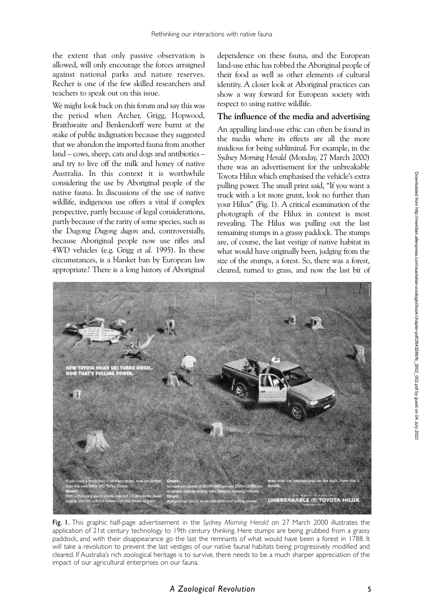the extent that only passive observation is allowed, will only encourage the forces arraigned against national parks and nature reserves. Recher is one of the few skilled researchers and teachers to speak out on this issue.

We might look back on this forum and say this was the period when Archer, Grigg, Hopwood, Braithwaite and Benkendorff were burnt at the stake of public indignation because they suggested that we abandon the imported fauna from another land – cows, sheep, cats and dogs and antibiotics – and try to live off the milk and honey of native Australia. In this context it is worthwhile considering the use by Aboriginal people of the native fauna. In discussions of the use of native wildlife, indigenous use offers a vital if complex perspective, partly because of legal considerations, partly because of the rarity of some species, such as the Dugong *Dugong dugon* and, controversially, because Aboriginal people now use rifles and 4WD vehicles (e.g. Grigg *et al.* 1995). In these circumstances, is a blanket ban by European law appropriate? There is a long history of Aboriginal

dependence on these fauna, and the European land-use ethic has robbed the Aboriginal people of their food as well as other elements of cultural identity. A closer look at Aboriginal practices can show a way forward for European society with respect to using native wildlife.

#### **The influence of the media and advertising**

An appalling land-use ethic can often be found in the media where its effects are all the more insidious for being subliminal. For example, in the *Sydney Morning Herald* (Monday, 27 March 2000) there was an advertisement for the unbreakable Toyota Hilux which emphasised the vehicle's extra pulling power. The small print said, "If you want a truck with a lot more grunt, look no further than your Hilux" (Fig. 1). A critical examination of the photograph of the Hilux in context is most revealing. The Hilux was pulling out the last remaining stumps in a grassy paddock. The stumps are, of course, the last vestige of native habitat in what would have originally been, judging from the size of the stumps, a forest. So, there was a forest, cleared, turned to grass, and now the last bit of



Fig. 1. This graphic half-page advertisement in the *Sydney Morning Herald* on 27 March 2000 illustrates the application of 21st century technology to 19th century thinking. Here stumps are being grubbed from a grassy paddock, and with their disappearance go the last the remnants of what would have been a forest in 1788. It will take a revolution to prevent the last vestiges of our native faunal habitats being progressively modified and cleared. If Australia's rich zoological heritage is to survive, there needs to be a much sharper appreciation of the impact of our agricultural enterprises on our fauna.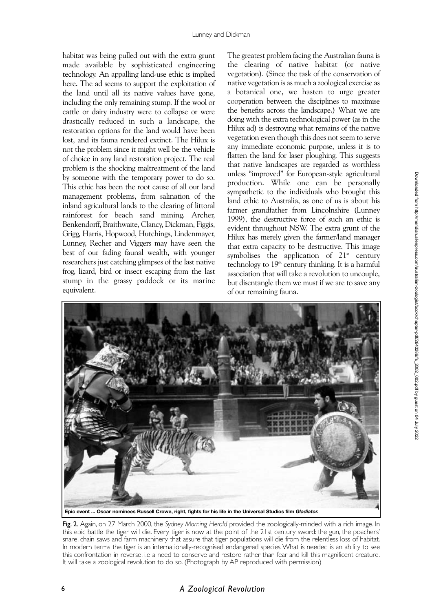habitat was being pulled out with the extra grunt made available by sophisticated engineering technology. An appalling land-use ethic is implied here. The ad seems to support the exploitation of the land until all its native values have gone, including the only remaining stump. If the wool or cattle or dairy industry were to collapse or were drastically reduced in such a landscape, the restoration options for the land would have been lost, and its fauna rendered extinct. The Hilux is not the problem since it might well be the vehicle of choice in any land restoration project. The real problem is the shocking maltreatment of the land by someone with the temporary power to do so. This ethic has been the root cause of all our land management problems, from salination of the inland agricultural lands to the clearing of littoral rainforest for beach sand mining. Archer, Benkendorff, Braithwaite, Clancy, Dickman, Figgis, Grigg, Harris, Hopwood, Hutchings, Lindenmayer, Lunney, Recher and Viggers may have seen the best of our fading faunal wealth, with younger researchers just catching glimpses of the last native frog, lizard, bird or insect escaping from the last stump in the grassy paddock or its marine equivalent.

The greatest problem facing the Australian fauna is the clearing of native habitat (or native vegetation). (Since the task of the conservation of native vegetation is as much a zoological exercise as a botanical one, we hasten to urge greater cooperation between the disciplines to maximise the benefits across the landscape.) What we are doing with the extra technological power (as in the Hilux ad) is destroying what remains of the native vegetation even though this does not seem to serve any immediate economic purpose, unless it is to flatten the land for laser ploughing. This suggests that native landscapes are regarded as worthless unless "improved" for European-style agricultural production. While one can be personally sympathetic to the individuals who brought this land ethic to Australia, as one of us is about his farmer grandfather from Lincolnshire (Lunney 1999), the destructive force of such an ethic is evident throughout NSW. The extra grunt of the Hilux has merely given the farmer/land manager that extra capacity to be destructive. This image symbolises the application of  $21^{st}$  century technology to  $19<sup>th</sup>$  century thinking. It is a harmful association that will take a revolution to uncouple, but disentangle them we must if we are to save any of our remaining fauna.



Fig. 2. Again, on 27 March 2000, the *Sydney Morning Herald* provided the zoologically-minded with a rich image. In this epic battle the tiger will die. Every tiger is now at the point of the 21st century sword: the gun, the poachers' snare, chain saws and farm machinery that assure that tiger populations will die from the relentless loss of habitat. In modern terms the tiger is an internationally-recognised endangered species.What is needed is an ability to see this confrontation in reverse, i.e a need to conserve and restore rather than fear and kill this magnificent creature. It will take a zoological revolution to do so. (Photograph by AP reproduced with permission)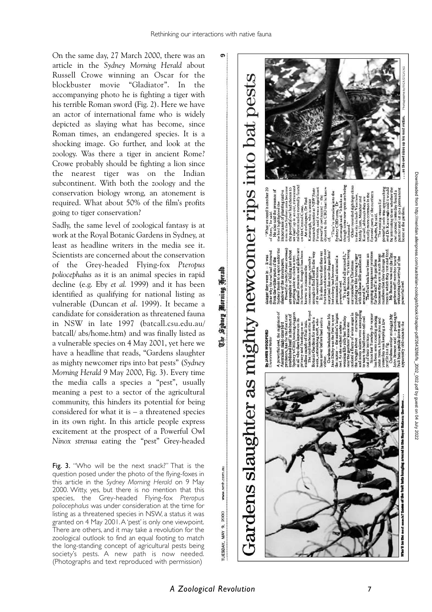Sydney Morning Herald

 $\ddot{\vec{v}}$ 

On the same day, 27 March 2000, there was an article in the *Sydney Morning Herald* about Russell Crowe winning an Oscar for the blockbuster movie "Gladiator". In the accompanying photo he is fighting a tiger with his terrible Roman sword (Fig. 2). Here we have an actor of international fame who is widely depicted as slaying what has become, since Roman times, an endangered species. It is a shocking image. Go further, and look at the zoology. Was there a tiger in ancient Rome? Crowe probably should be fighting a lion since the nearest tiger was on the Indian subcontinent. With both the zoology and the conservation biology wrong, an atonement is required. What about 50% of the film's profits going to tiger conservation?

Sadly, the same level of zoological fantasy is at work at the Royal Botanic Gardens in Sydney, at least as headline writers in the media see it. Scientists are concerned about the conservation of the Grey-headed Flying-fox *Pteropus poliocephalus* as it is an animal species in rapid decline (e.g. Eby *et al.* 1999) and it has been identified as qualifying for national listing as vulnerable (Duncan *et al*. 1999). It became a candidate for consideration as threatened fauna in NSW in late 1997 (batcall.csu.edu.au/ batcall/ abs/home.htm) and was finally listed as a vulnerable species on 4 May 2001, yet here we have a headline that reads, "Gardens slaughter as mighty newcomer rips into bat pests" (*Sydney Morning Herald* 9 May 2000, Fig. 3). Every time the media calls a species a "pest", usually meaning a pest to a sector of the agricultural community, this hinders its potential for being considered for what it is – a threatened species in its own right. In this article people express excitement at the prospect of a Powerful Owl *Ninox strenua* eating the "pest" Grey-headed

Fig. 3. "Who will be the next snack?" That is the question posed under the photo of the flying-foxes in this article in the *Sydney Morning Herald* on 9 May 2000. Witty, yes, but there is no mention that this species, the Grey-headed Flying-fox *Pteropus poliocephalus* was under consideration at the time for listing as a threatened species in NSW, a status it was granted on 4 May 2001.A 'pest' is only one viewpoint. There are others, and it may take a revolution for the zoological outlook to find an equal footing to match the long-standing concept of agricultural pests being society's pests. A new path is now needed. (Photographs and text reproduced with permission)



www.smh.com.au

2000

MAY 9.

TUESDAY,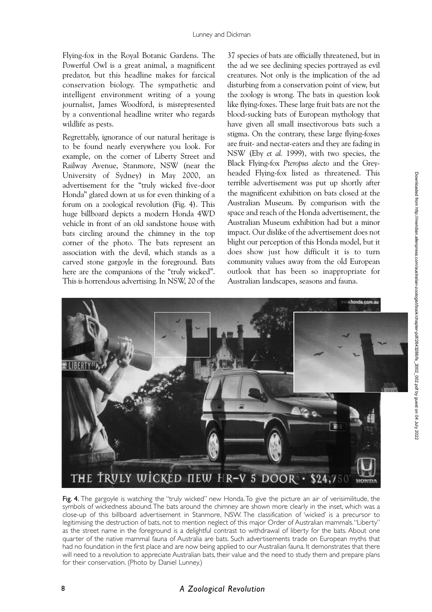Flying-fox in the Royal Botanic Gardens. The Powerful Owl is a great animal, a magnificent predator, but this headline makes for farcical conservation biology. The sympathetic and intelligent environment writing of a young journalist, James Woodford, is misrepresented by a conventional headline writer who regards wildlife as pests.

Regrettably, ignorance of our natural heritage is to be found nearly everywhere you look. For example, on the corner of Liberty Street and Railway Avenue, Stanmore, NSW (near the University of Sydney) in May 2000, an advertisement for the "truly wicked five-door Honda" glared down at us for even thinking of a forum on a zoological revolution (Fig. 4). This huge billboard depicts a modern Honda 4WD vehicle in front of an old sandstone house with bats circling around the chimney in the top corner of the photo. The bats represent an association with the devil, which stands as a carved stone gargoyle in the foreground. Bats here are the companions of the "truly wicked". This is horrendous advertising. In NSW, 20 of the

37 species of bats are officially threatened, but in the ad we see declining species portrayed as evil creatures. Not only is the implication of the ad disturbing from a conservation point of view, but the zoology is wrong. The bats in question look like flying-foxes. These large fruit bats are not the blood-sucking bats of European mythology that have given all small insectivorous bats such a stigma. On the contrary, these large flying-foxes are fruit- and nectar-eaters and they are fading in NSW (Eby *et al.* 1999), with two species, the Black Flying-fox *Pteropus alecto* and the Greyheaded Flying-fox listed as threatened. This terrible advertisement was put up shortly after the magnificent exhibition on bats closed at the Australian Museum. By comparison with the space and reach of the Honda advertisement, the Australian Museum exhibition had but a minor impact. Our dislike of the advertisement does not blight our perception of this Honda model, but it does show just how difficult it is to turn community values away from the old European outlook that has been so inappropriate for Australian landscapes, seasons and fauna.



Fig. 4. The gargoyle is watching the "truly wicked" new Honda. To give the picture an air of verisimilitude, the symbols of wickedness abound.The bats around the chimney are shown more clearly in the inset, which was a close-up of this billboard advertisement in Stanmore, NSW. The classification of 'wicked' is a precursor to legitimising the destruction of bats, not to mention neglect of this major Order of Australian mammals."Liberty" as the street name in the foreground is a delightful contrast to withdrawal of liberty for the bats. About one quarter of the native mammal fauna of Australia are bats. Such advertisements trade on European myths that had no foundation in the first place and are now being applied to our Australian fauna. It demonstrates that there will need to a revolution to appreciate Australian bats, their value and the need to study them and prepare plans for their conservation. (Photo by Daniel Lunney.)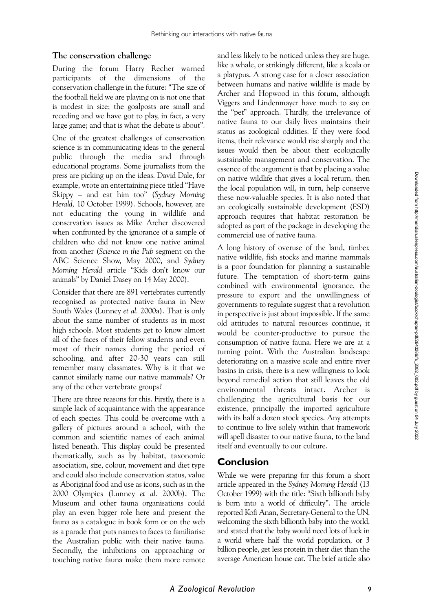# **The conservation challenge**

During the forum Harry Recher warned participants of the dimensions of the conservation challenge in the future: "The size of the football field we are playing on is not one that is modest in size; the goalposts are small and receding and we have got to play, in fact, a very large game; and that is what the debate is about".

One of the greatest challenges of conservation science is in communicating ideas to the general public through the media and through educational programs. Some journalists from the press are picking up on the ideas. David Dale, for example, wrote an entertaining piece titled "Have Skippy – and eat him too" (*Sydney Morning Herald,* 10 October 1999). Schools, however, are not educating the young in wildlife and conservation issues as Mike Archer discovered when confronted by the ignorance of a sample of children who did not know one native animal from another (*Science in the Pub* segment on the ABC Science Show, May 2000, and *Sydney Morning Herald* article "Kids don't know our animals" by Daniel Dasey on 14 May 2000).

Consider that there are 891 vertebrates currently recognised as protected native fauna in New South Wales (Lunney *et al.* 2000a). That is only about the same number of students as in most high schools. Most students get to know almost all of the faces of their fellow students and even most of their names during the period of schooling, and after 20-30 years can still remember many classmates. Why is it that we cannot similarly name our native mammals? Or any of the other vertebrate groups?

There are three reasons for this. Firstly, there is a simple lack of acquaintance with the appearance of each species. This could be overcome with a gallery of pictures around a school, with the common and scientific names of each animal listed beneath. This display could be presented thematically, such as by habitat, taxonomic association, size, colour, movement and diet type and could also include conservation status, value as Aboriginal food and use as icons, such as in the 2000 Olympics (Lunney *et al.* 2000b). The Museum and other fauna organisations could play an even bigger role here and present the fauna as a catalogue in book form or on the web as a parade that puts names to faces to familiarise the Australian public with their native fauna. Secondly, the inhibitions on approaching or touching native fauna make them more remote

and less likely to be noticed unless they are huge, like a whale, or strikingly different, like a koala or a platypus. A strong case for a closer association between humans and native wildlife is made by Archer and Hopwood in this forum, although Viggers and Lindenmayer have much to say on the "pet" approach. Thirdly, the irrelevance of native fauna to our daily lives maintains their status as zoological oddities. If they were food items, their relevance would rise sharply and the issues would then be about their ecologically sustainable management and conservation. The essence of the argument is that by placing a value on native wildlife that gives a local return, then the local population will, in turn, help conserve these now-valuable species. It is also noted that an ecologically sustainable development (ESD) approach requires that habitat restoration be adopted as part of the package in developing the commercial use of native fauna.

A long history of overuse of the land, timber, native wildlife, fish stocks and marine mammals is a poor foundation for planning a sustainable future. The temptation of short-term gains combined with environmental ignorance, the pressure to export and the unwillingness of governments to regulate suggest that a revolution in perspective is just about impossible. If the same old attitudes to natural resources continue, it would be counter-productive to pursue the consumption of native fauna. Here we are at a turning point. With the Australian landscape deteriorating on a massive scale and entire river basins in crisis, there is a new willingness to look beyond remedial action that still leaves the old environmental threats intact. Archer is challenging the agricultural basis for our existence, principally the imported agriculture with its half a dozen stock species. Any attempts to continue to live solely within that framework will spell disaster to our native fauna, to the land itself and eventually to our culture.

# **Conclusion**

While we were preparing for this forum a short article appeared in the *Sydney Morning Herald* (13 October 1999) with the title: "Sixth billionth baby is born into a world of difficulty". The article reported Kofi Anan, Secretary-General to the UN, welcoming the sixth billionth baby into the world, and stated that the baby would need lots of luck in a world where half the world population, or 3 billion people, get less protein in their diet than the average American house cat. The brief article also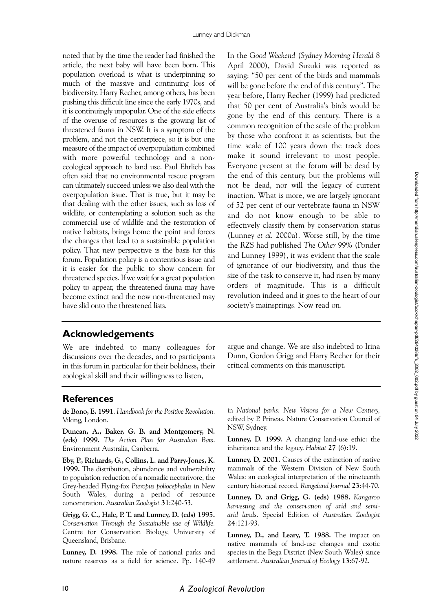noted that by the time the reader had finished the article, the next baby will have been born. This population overload is what is underpinning so much of the massive and continuing loss of biodiversity. Harry Recher, among others, has been pushing this difficult line since the early 1970s, and it is continuingly unpopular. One of the side effects of the overuse of resources is the growing list of threatened fauna in NSW. It is a symptom of the problem, and not the centerpiece, so it is but one measure of the impact of overpopulation combined with more powerful technology and a nonecological approach to land use. Paul Ehrlich has often said that no environmental rescue program can ultimately succeed unless we also deal with the overpopulation issue. That is true, but it may be that dealing with the other issues, such as loss of wildlife, or contemplating a solution such as the commercial use of wildlife and the restoration of native habitats, brings home the point and forces the changes that lead to a sustainable population policy. That new perspective is the basis for this forum. Population policy is a contentious issue and it is easier for the public to show concern for threatened species. If we wait for a great population policy to appear, the threatened fauna may have become extinct and the now non-threatened may have slid onto the threatened lists.

In the *Good Weekend* (*Sydney Morning Herald* 8 April 2000), David Suzuki was reported as saying: "50 per cent of the birds and mammals will be gone before the end of this century". The year before, Harry Recher (1999) had predicted that 50 per cent of Australia's birds would be gone by the end of this century. There is a common recognition of the scale of the problem by those who confront it as scientists, but the time scale of 100 years down the track does make it sound irrelevant to most people. Everyone present at the forum will be dead by the end of this century, but the problems will not be dead, nor will the legacy of current inaction. What is more, we are largely ignorant of 52 per cent of our vertebrate fauna in NSW and do not know enough to be able to effectively classify them by conservation status (Lunney *et al.* 2000a). Worse still, by the time the RZS had published *The Other 99%* (Ponder and Lunney 1999), it was evident that the scale of ignorance of our biodiversity, and thus the size of the task to conserve it, had risen by many orders of magnitude. This is a difficult revolution indeed and it goes to the heart of our society's mainsprings. Now read on.

# **Acknowledgements**

We are indebted to many colleagues for discussions over the decades, and to participants in this forum in particular for their boldness, their zoological skill and their willingness to listen,

argue and change. We are also indebted to Irina Dunn, Gordon Grigg and Harry Recher for their critical comments on this manuscript.

# **References**

**de Bono, E. 1991**. *Handbook for the Positive Revolution*. Viking, London.

**Duncan, A., Baker, G. B. and Montgomery, N. (eds) 1999.** *The Action Plan for Australian Bats*. Environment Australia, Canberra.

**Eby, P., Richards, G., Collins, L. and Parry-Jones, K. 1999.** The distribution, abundance and vulnerability to population reduction of a nomadic nectarivore, the Grey-headed Flying-fox *Pteropus poliocephalus* in New South Wales, during a period of resource concentration. *Australian Zoologist* **31**:240-53.

**Grigg, G. C., Hale, P. T. and Lunney, D. (eds) 1995.** *Conservation Through the Sustainable use of Wildlife.* Centre for Conservation Biology, University of Queensland, Brisbane.

**Lunney, D. 1998.** The role of national parks and nature reserves as a field for science. Pp. 140-49

in *National parks: New Visions for a New Century,* edited by P. Prineas. Nature Conservation Council of NSW, Sydney.

**Lunney, D. 1999.** A changing land-use ethic: the inheritance and the legacy. *Habitat* **27** (6):19.

**Lunney, D. 2001.** Causes of the extinction of native mammals of the Western Division of New South Wales: an ecological interpretation of the nineteenth century historical record. *Rangeland Journal* **23**:44-70.

**Lunney, D. and Grigg, G. (eds) 1988.** *Kangaroo harvesting and the conservation of arid and semiarid lands*. Special Edition of *Australian Zoologist* **24**:121-93.

**Lunney, D., and Leary, T. 1988.** The impact on native mammals of land-use changes and exotic species in the Bega District (New South Wales) since settlement. *Australian Journal of Ecology* **13**:67-92.